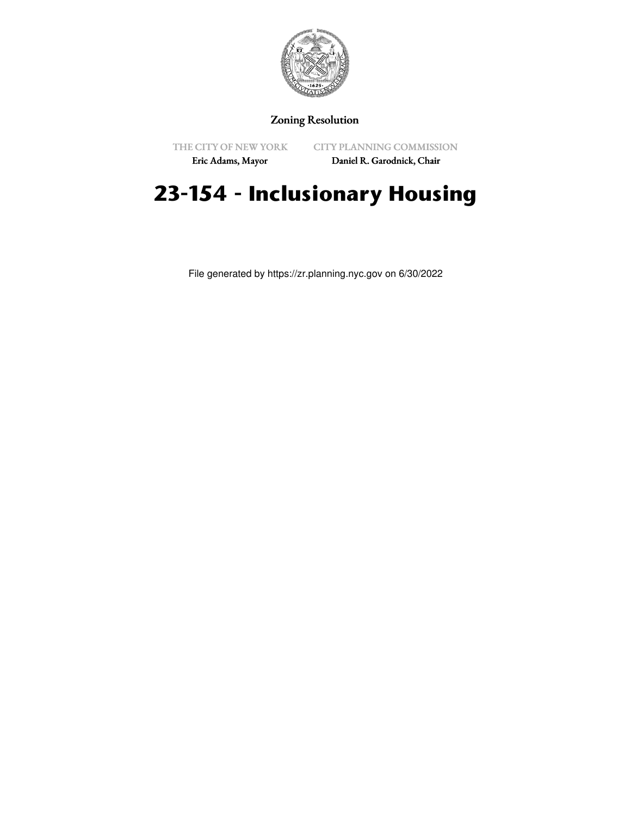

# Zoning Resolution

THE CITY OF NEW YORK

CITY PLANNING COMMISSION

Eric Adams, Mayor

Daniel R. Garodnick, Chair

# **23-154 - Inclusionary Housing**

File generated by https://zr.planning.nyc.gov on 6/30/2022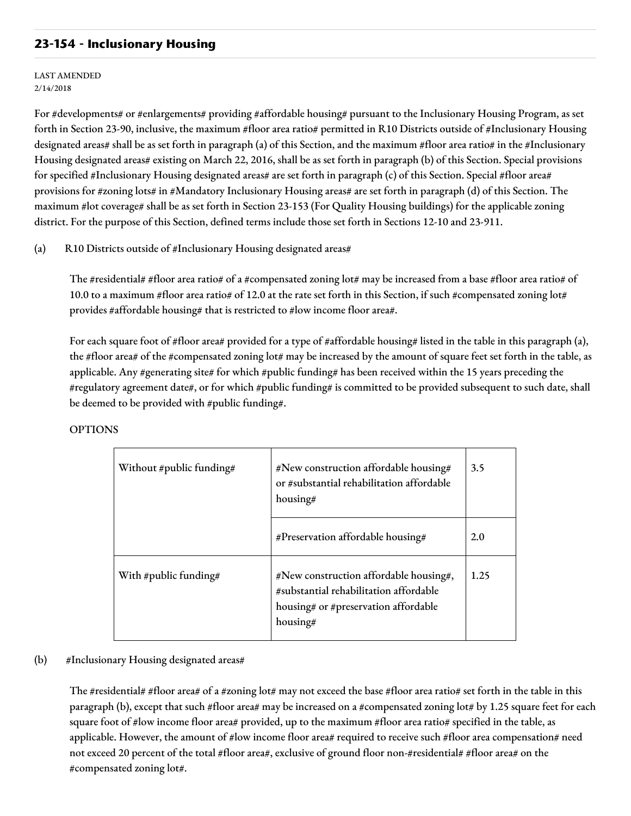# **23-154 - Inclusionary Housing**

LAST AMENDED 2/14/2018

For #developments# or #enlargements# providing #affordable housing# pursuant to the Inclusionary Housing Program, as set forth in Section 23-90, inclusive, the maximum #floor area ratio# permitted in R10 Districts outside of #Inclusionary Housing designated areas# shall be as set forth in paragraph (a) of this Section, and the maximum #floor area ratio# in the #Inclusionary Housing designated areas# existing on March 22, 2016, shall be as set forth in paragraph (b) of this Section. Special provisions for specified #Inclusionary Housing designated areas# are set forth in paragraph (c) of this Section. Special #floor area# provisions for #zoning lots# in #Mandatory Inclusionary Housing areas# are set forth in paragraph (d) of this Section. The maximum #lot coverage# shall be as set forth in Section 23-153 (For Quality Housing buildings) for the applicable zoning district. For the purpose of this Section, defined terms include those set forth in Sections 12-10 and 23-911.

### (a) R10 Districts outside of #Inclusionary Housing designated areas#

The #residential# #floor area ratio# of a #compensated zoning lot# may be increased from a base #floor area ratio# of 10.0 to a maximum #floor area ratio# of 12.0 at the rate set forth in this Section, if such #compensated zoning lot# provides #affordable housing# that is restricted to #low income floor area#.

For each square foot of #floor area# provided for a type of #affordable housing# listed in the table in this paragraph (a), the #floor area# of the #compensated zoning lot# may be increased by the amount of square feet set forth in the table, as applicable. Any #generating site# for which #public funding# has been received within the 15 years preceding the #regulatory agreement date#, or for which #public funding# is committed to be provided subsequent to such date, shall be deemed to be provided with #public funding#.

| Without #public funding# | #New construction affordable housing#<br>or #substantial rehabilitation affordable<br>housing#                                       | 3.5  |
|--------------------------|--------------------------------------------------------------------------------------------------------------------------------------|------|
|                          | #Preservation affordable housing#                                                                                                    | 2.0  |
| With #public funding#    | #New construction affordable housing#,<br>#substantial rehabilitation affordable<br>housing# or #preservation affordable<br>housing# | 1.25 |

#### OPTIONS

# (b) #Inclusionary Housing designated areas#

The #residential# #floor area# of a #zoning lot# may not exceed the base #floor area ratio# set forth in the table in this paragraph (b), except that such #floor area# may be increased on a #compensated zoning lot# by 1.25 square feet for each square foot of #low income floor area# provided, up to the maximum #floor area ratio# specified in the table, as applicable. However, the amount of #low income floor area# required to receive such #floor area compensation# need not exceed 20 percent of the total #floor area#, exclusive of ground floor non-#residential# #floor area# on the #compensated zoning lot#.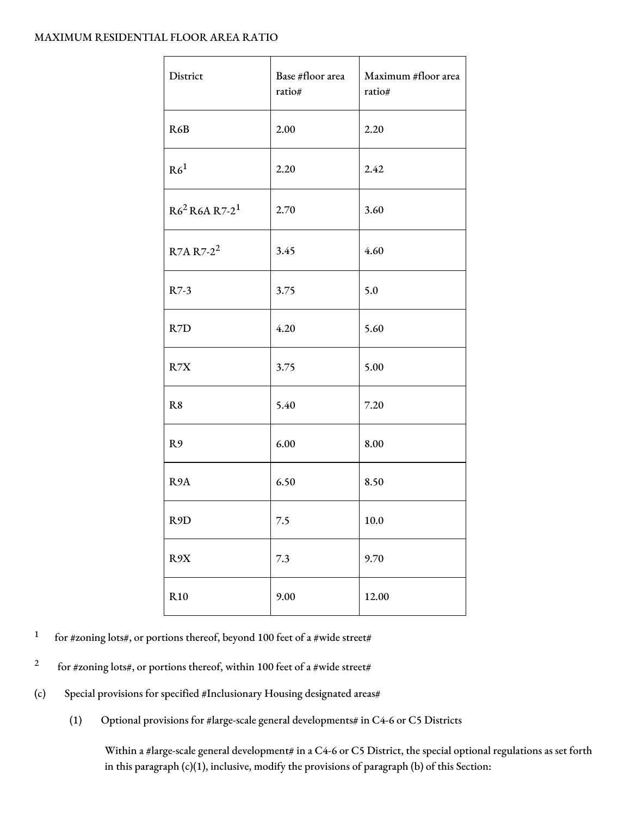## MAXIMUM RESIDENTIAL FLOOR AREA RATIO

| District                     | Base #floor area<br>ratio# | Maximum #floor area<br>ratio# |
|------------------------------|----------------------------|-------------------------------|
| R6B                          | 2.00                       | 2.20                          |
| R6 <sup>1</sup>              | 2.20                       | 2.42                          |
| $R6^2$ R6A R7-2 <sup>1</sup> | 2.70                       | 3.60                          |
| R7A R7-2 <sup>2</sup>        | 3.45                       | 4.60                          |
| R7-3                         | 3.75                       | 5.0                           |
| R7D                          | 4.20                       | 5.60                          |
| R7X                          | 3.75                       | 5.00                          |
| R <sub>8</sub>               | 5.40                       | 7.20                          |
| R9                           | 6.00                       | 8.00                          |
| R <sub>9</sub> A             | 6.50                       | 8.50                          |
| R <sub>9</sub> D             | 7.5                        | 10.0                          |
| R9X                          | 7.3                        | 9.70                          |
| R <sub>10</sub>              | 9.00                       | 12.00                         |

- 1 for #zoning lots#, or portions thereof, beyond 100 feet of a #wide street#
- 2 for #zoning lots#, or portions thereof, within 100 feet of a #wide street#
- (c) Special provisions for specified #Inclusionary Housing designated areas#
	- (1) Optional provisions for #large-scale general developments# in C4-6 or C5 Districts

Within a #large-scale general development# in a C4-6 or C5 District, the special optional regulations as set forth in this paragraph (c)(1), inclusive, modify the provisions of paragraph (b) of this Section: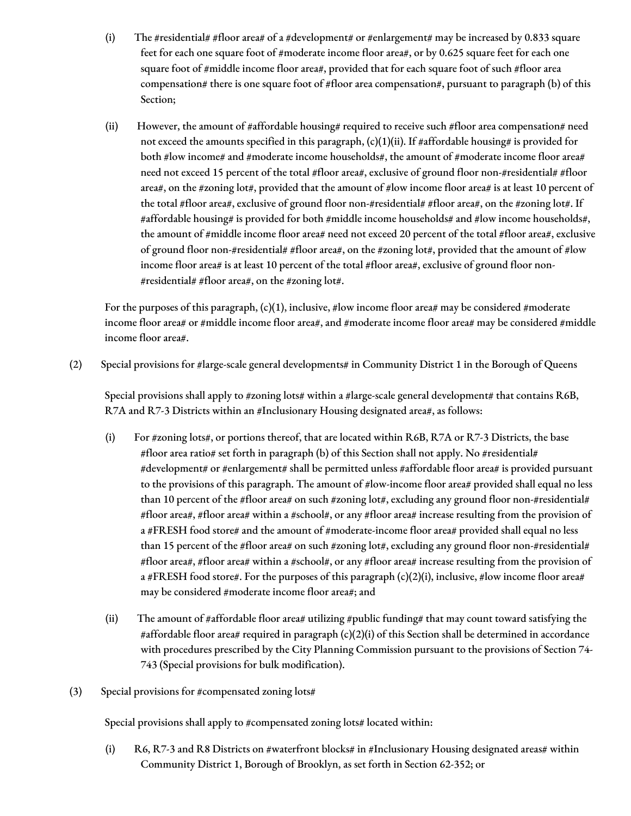- (i) The #residential# #floor area# of a #development# or #enlargement# may be increased by 0.833 square feet for each one square foot of #moderate income floor area#, or by 0.625 square feet for each one square foot of #middle income floor area#, provided that for each square foot of such #floor area compensation# there is one square foot of #floor area compensation#, pursuant to paragraph (b) of this Section;
- (ii) However, the amount of #affordable housing# required to receive such #floor area compensation# need not exceed the amounts specified in this paragraph,  $(c)(1)(ii)$ . If #affordable housing# is provided for both #low income# and #moderate income households#, the amount of #moderate income floor area# need not exceed 15 percent of the total #floor area#, exclusive of ground floor non-#residential# #floor area#, on the #zoning lot#, provided that the amount of #low income floor area# is at least 10 percent of the total #floor area#, exclusive of ground floor non-#residential# #floor area#, on the #zoning lot#. If #affordable housing# is provided for both #middle income households# and #low income households#, the amount of #middle income floor area# need not exceed 20 percent of the total #floor area#, exclusive of ground floor non-#residential# #floor area#, on the #zoning lot#, provided that the amount of #low income floor area# is at least 10 percent of the total #floor area#, exclusive of ground floor non- #residential# #floor area#, on the #zoning lot#.

For the purposes of this paragraph,  $(c)(1)$ , inclusive, #low income floor area# may be considered #moderate income floor area# or #middle income floor area#, and #moderate income floor area# may be considered #middle income floor area#.

(2) Special provisions for #large-scale general developments# in Community District 1 in the Borough of Queens

Special provisions shall apply to #zoning lots# within a #large-scale general development# that contains R6B, R7A and R7-3 Districts within an #Inclusionary Housing designated area#, as follows:

- (i) For #zoning lots#, or portions thereof, that are located within R6B, R7A or R7-3 Districts, the base #floor area ratio# set forth in paragraph (b) of this Section shall not apply. No #residential# #development# or #enlargement# shall be permitted unless #affordable floor area# is provided pursuant to the provisions of this paragraph. The amount of #low-income floor area# provided shall equal no less than 10 percent of the #floor area# on such #zoning lot#, excluding any ground floor non-#residential# #floor area#, #floor area# within a #school#, or any #floor area# increase resulting from the provision of a #FRESH food store# and the amount of #moderate-income floor area# provided shall equal no less than 15 percent of the #floor area# on such #zoning lot#, excluding any ground floor non-#residential# #floor area#, #floor area# within a #school#, or any #floor area# increase resulting from the provision of a #FRESH food store#. For the purposes of this paragraph (c)(2)(i), inclusive, #low income floor area# may be considered #moderate income floor area#; and
- (ii) The amount of #affordable floor area# utilizing #public funding# that may count toward satisfying the #affordable floor area# required in paragraph (c)(2)(i) of this Section shall be determined in accordance with procedures prescribed by the City Planning Commission pursuant to the provisions of Section 74- 743 (Special provisions for bulk modification).
- (3) Special provisions for #compensated zoning lots#

Special provisions shall apply to #compensated zoning lots# located within:

(i) R6, R7-3 and R8 Districts on #waterfront blocks# in #Inclusionary Housing designated areas# within Community District 1, Borough of Brooklyn, as set forth in Section 62-352; or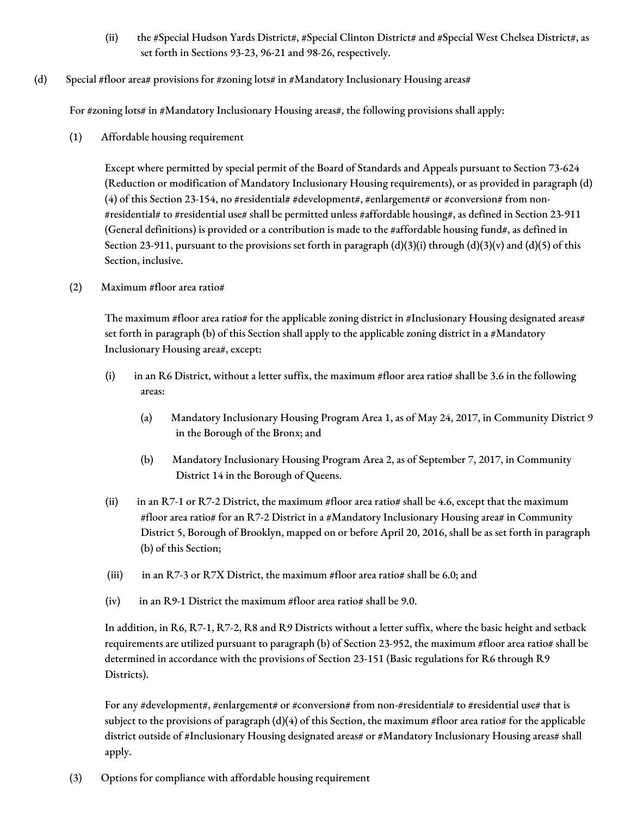- (ii) the #Special Hudson Yards District#, #Special Clinton District# and #Special West Chelsea District#, as set forth in Sections 93-23, 96-21 and 98-26, respectively.
- (d) Special #floor area# provisions for #zoning lots# in #Mandatory Inclusionary Housing areas#

For #zoning lots# in #Mandatory Inclusionary Housing areas#, the following provisions shall apply:

(1) Affordable housing requirement

Except where permitted by special permit of the Board of Standards and Appeals pursuant to Section 73-624 (Reduction or modification of Mandatory Inclusionary Housing requirements), or as provided in paragraph (d) (4) of this Section 23-154, no #residential# #development#, #enlargement# or #conversion# from non-#residential# to #residential use# shall be permitted unless #affordable housing#, as defined in Section 23-911 (General definitions) is provided or a contribution is made to the #affordable housing fund#, as defined in Section 23-911, pursuant to the provisions set forth in paragraph  $(d)(3)(i)$  through  $(d)(3)(v)$  and  $(d)(5)$  of this Section, inclusive.

(2) Maximum #floor area ratio#

The maximum #floor area ratio# for the applicable zoning district in #Inclusionary Housing designated areas# set forth in paragraph (b) of this Section shall apply to the applicable zoning district in a #Mandatory Inclusionary Housing area#, except:

- (i) in an R6 District, without a letter suffix, the maximum #floor area ratio# shall be 3.6 in the following areas:
	- (a) Mandatory Inclusionary Housing Program Area 1, as of May 24, 2017, in Community District 9 in the Borough of the Bronx; and
	- (b) Mandatory Inclusionary Housing Program Area 2, as of September 7, 2017, in Community District 14 in the Borough of Queens.
- (ii) in an R7-1 or R7-2 District, the maximum #floor area ratio# shall be 4.6, except that the maximum #floor area ratio# for an R7-2 District in a #Mandatory Inclusionary Housing area# in Community District 5, Borough of Brooklyn, mapped on or before April 20, 2016, shall be as set forth in paragraph (b) of this Section;
- (iii) in an R7-3 or R7X District, the maximum #floor area ratio# shall be 6.0; and
- (iv) in an R9-1 District the maximum #floor area ratio# shall be 9.0.

In addition, in R6, R7-1, R7-2, R8 and R9 Districts without a letter suffix, where the basic height and setback requirements are utilized pursuant to paragraph (b) of Section 23-952, the maximum #floor area ratio# shall be determined in accordance with the provisions of Section 23-151 (Basic regulations for R6 through R9 Districts).

For any #development#, #enlargement# or #conversion# from non-#residential# to #residential use# that is subject to the provisions of paragraph  $(d)(4)$  of this Section, the maximum #floor area ratio# for the applicable district outside of #Inclusionary Housing designated areas# or #Mandatory Inclusionary Housing areas# shall apply.

(3) Options for compliance with affordable housing requirement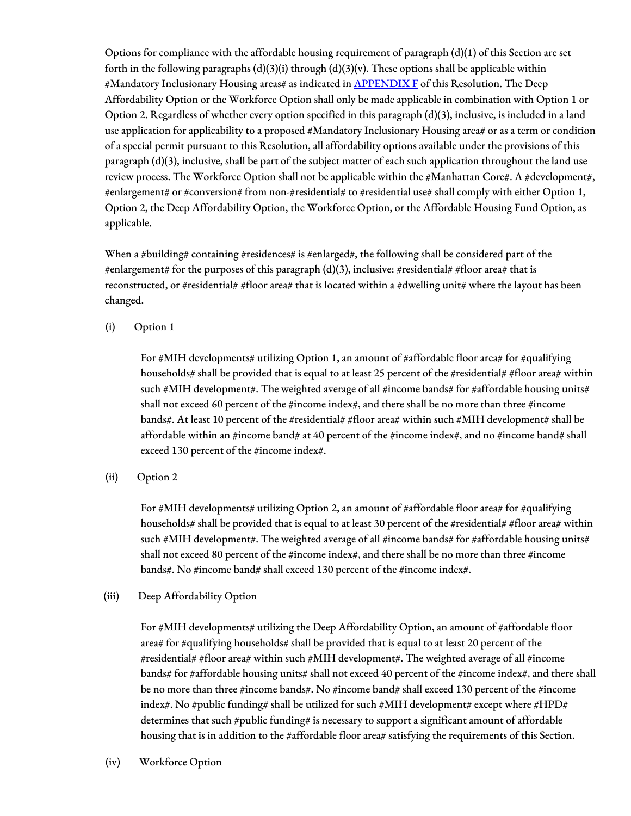Options for compliance with the affordable housing requirement of paragraph (d)(1) of this Section are set forth in the following paragraphs  $(d)(3)(i)$  through  $(d)(3)(v)$ . These options shall be applicable within #Mandatory Inclusionary Housing areas# as indicated in **[APPENDIX](http://www1.nyc.gov/assets/planning/download/pdf/zoning/zoning-text/appendixf.pdf) F** of this Resolution. The Deep Affordability Option or the Workforce Option shall only be made applicable in combination with Option 1 or Option 2. Regardless of whether every option specified in this paragraph (d)(3), inclusive, is included in a land use application for applicability to a proposed #Mandatory Inclusionary Housing area# or as a term or condition of a special permit pursuant to this Resolution, all affordability options available under the provisions of this paragraph (d)(3), inclusive, shall be part of the subject matter of each such application throughout the land use review process. The Workforce Option shall not be applicable within the #Manhattan Core#. A #development#, #enlargement# or #conversion# from non-#residential# to #residential use# shall comply with either Option 1, Option 2, the Deep Affordability Option, the Workforce Option, or the Affordable Housing Fund Option, as applicable.

When a #building# containing #residences# is #enlarged#, the following shall be considered part of the #enlargement# for the purposes of this paragraph (d)(3), inclusive: #residential# #floor area# that is reconstructed, or #residential# #floor area# that is located within a #dwelling unit# where the layout has been changed.

(i) Option 1

For #MIH developments# utilizing Option 1, an amount of #affordable floor area# for #qualifying households# shall be provided that is equal to at least 25 percent of the #residential# #floor area# within such #MIH development#. The weighted average of all #income bands# for #affordable housing units# shall not exceed 60 percent of the #income index#, and there shall be no more than three #income bands#. At least 10 percent of the #residential# #floor area# within such #MIH development# shall be affordable within an #income band# at 40 percent of the #income index#, and no #income band# shall exceed 130 percent of the #income index#.

(ii) Option 2

For  $\#$ MIH developments# utilizing Option 2, an amount of  $\#$ affordable floor area# for  $\#$ qualifying households# shall be provided that is equal to at least 30 percent of the #residential# #floor area# within such #MIH development#. The weighted average of all #income bands# for #affordable housing units# shall not exceed 80 percent of the #income index#, and there shall be no more than three #income bands#. No #income band# shall exceed 130 percent of the #income index#.

(iii) Deep Affordability Option

For #MIH developments# utilizing the Deep Affordability Option, an amount of #affordable floor area# for #qualifying households# shall be provided that is equal to at least 20 percent of the #residential# #floor area# within such #MIH development#. The weighted average of all #income bands# for #affordable housing units# shall not exceed 40 percent of the #income index#, and there shall be no more than three #income bands#. No #income band# shall exceed 130 percent of the #income index#. No #public funding# shall be utilized for such #MIH development# except where #HPD# determines that such #public funding# is necessary to support a significant amount of affordable housing that is in addition to the #affordable floor area# satisfying the requirements of this Section.

(iv) Workforce Option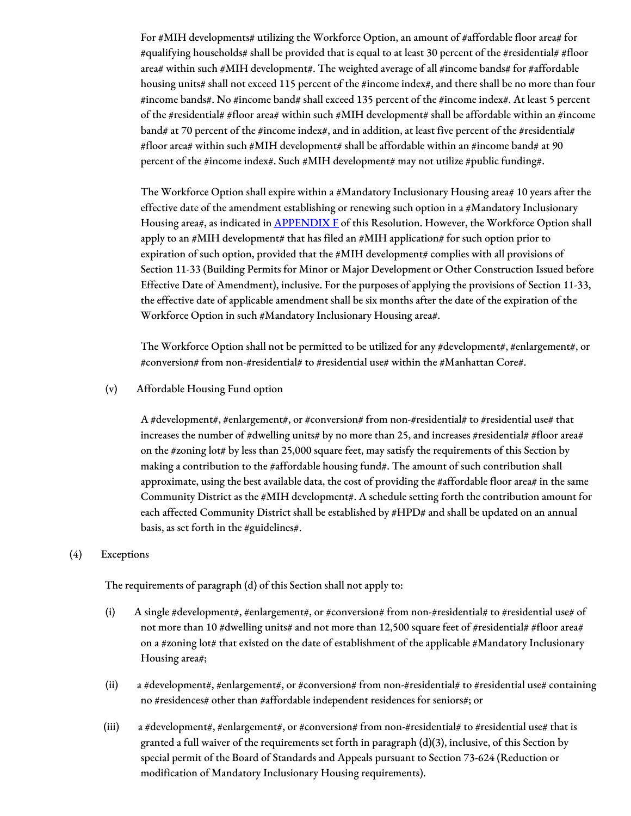For #MIH developments# utilizing the Workforce Option, an amount of #affordable floor area# for #qualifying households# shall be provided that is equal to at least 30 percent of the #residential# #floor area# within such #MIH development#. The weighted average of all #income bands# for #affordable housing units# shall not exceed 115 percent of the #income index#, and there shall be no more than four #income bands#. No #income band# shall exceed 135 percent of the #income index#. At least 5 percent of the #residential# #floor area# within such #MIH development# shall be affordable within an #income band# at 70 percent of the #income index#, and in addition, at least five percent of the #residential# #floor area# within such #MIH development# shall be affordable within an #income band# at 90 percent of the #income index#. Such #MIH development# may not utilize #public funding#.

The Workforce Option shall expire within a #Mandatory Inclusionary Housing area# 10 years after the effective date of the amendment establishing or renewing such option in a #Mandatory Inclusionary Housing area#, as indicated in **[APPENDIX](http://www1.nyc.gov/assets/planning/download/pdf/zoning/zoning-text/appendixf.pdf) F** of this Resolution. However, the Workforce Option shall apply to an #MIH development# that has filed an #MIH application# for such option prior to expiration of such option, provided that the #MIH development# complies with all provisions of Section 11-33 (Building Permits for Minor or Major Development or Other Construction Issued before Effective Date of Amendment), inclusive. For the purposes of applying the provisions of Section 11-33, the effective date of applicable amendment shall be six months after the date of the expiration of the Workforce Option in such #Mandatory Inclusionary Housing area#.

The Workforce Option shall not be permitted to be utilized for any #development#, #enlargement#, or #conversion# from non-#residential# to #residential use# within the #Manhattan Core#.

(v) Affordable Housing Fund option

A #development#, #enlargement#, or #conversion# from non-#residential# to #residential use# that increases the number of #dwelling units# by no more than 25, and increases #residential# #floor area# on the #zoning lot# by less than 25,000 square feet, may satisfy the requirements of this Section by making a contribution to the #affordable housing fund#. The amount of such contribution shall approximate, using the best available data, the cost of providing the #affordable floor area# in the same Community District as the #MIH development#. A schedule setting forth the contribution amount for each affected Community District shall be established by #HPD# and shall be updated on an annual basis, as set forth in the #guidelines#.

#### (4) Exceptions

The requirements of paragraph (d) of this Section shall not apply to:

- (i) A single #development#, #enlargement#, or #conversion# from non-#residential# to #residential use# of not more than 10 #dwelling units# and not more than 12,500 square feet of #residential# #floor area# on a #zoning lot# that existed on the date of establishment of the applicable #Mandatory Inclusionary Housing area#;
- (ii) a #development#, #enlargement#, or #conversion# from non-#residential# to #residential use# containing no #residences# other than #affordable independent residences for seniors#; or
- (iii) a #development#, #enlargement#, or #conversion# from non-#residential# to #residential use# that is granted a full waiver of the requirements set forth in paragraph (d)(3), inclusive, of this Section by special permit of the Board of Standards and Appeals pursuant to Section 73-624 (Reduction or modification of Mandatory Inclusionary Housing requirements).